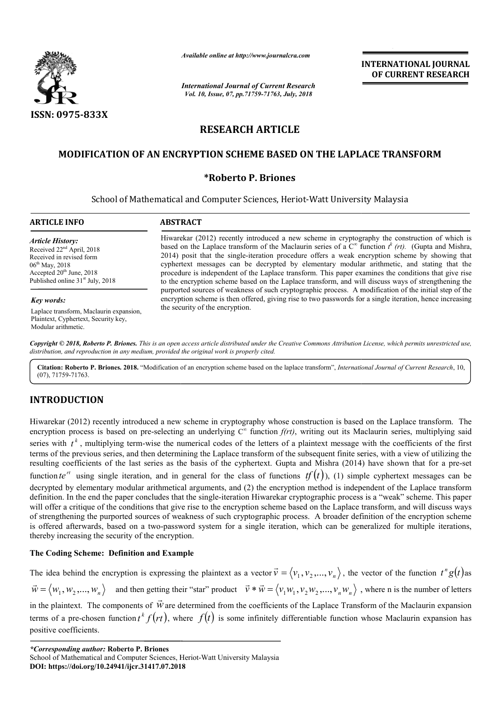

*Available online at http://www.journalcra.com*

# **RESEARCH ARTICLE**

## **MODIFICATION OF AN ENCRYPTION SCHEME BASED ON THE LAPLACE TRANSFORM MODIFICATION**

## **\*Roberto P. Briones**

|                                                                                                                                                                                                                             | <b>INTERNATIONAL JOURNAL</b><br>OF CURRENT RESEARCH                                                                                                                                                                                                                                                                                                                                                                                                                                                                                                                                                                                                                                                                                                                                                                                 |                                                                                                                                                                                                                                  |                                                                                                                                                                                                                                                                                                                                                                                                                                                                                                                                                                                                                                                                                                                                                                                                                                                                                                |
|-----------------------------------------------------------------------------------------------------------------------------------------------------------------------------------------------------------------------------|-------------------------------------------------------------------------------------------------------------------------------------------------------------------------------------------------------------------------------------------------------------------------------------------------------------------------------------------------------------------------------------------------------------------------------------------------------------------------------------------------------------------------------------------------------------------------------------------------------------------------------------------------------------------------------------------------------------------------------------------------------------------------------------------------------------------------------------|----------------------------------------------------------------------------------------------------------------------------------------------------------------------------------------------------------------------------------|------------------------------------------------------------------------------------------------------------------------------------------------------------------------------------------------------------------------------------------------------------------------------------------------------------------------------------------------------------------------------------------------------------------------------------------------------------------------------------------------------------------------------------------------------------------------------------------------------------------------------------------------------------------------------------------------------------------------------------------------------------------------------------------------------------------------------------------------------------------------------------------------|
|                                                                                                                                                                                                                             | <b>International Journal of Current Research</b><br>Vol. 10, Issue, 07, pp.71759-71763, July, 2018                                                                                                                                                                                                                                                                                                                                                                                                                                                                                                                                                                                                                                                                                                                                  |                                                                                                                                                                                                                                  |                                                                                                                                                                                                                                                                                                                                                                                                                                                                                                                                                                                                                                                                                                                                                                                                                                                                                                |
| ISSN: 0975-833X                                                                                                                                                                                                             |                                                                                                                                                                                                                                                                                                                                                                                                                                                                                                                                                                                                                                                                                                                                                                                                                                     |                                                                                                                                                                                                                                  |                                                                                                                                                                                                                                                                                                                                                                                                                                                                                                                                                                                                                                                                                                                                                                                                                                                                                                |
| <b>RESEARCH ARTICLE</b><br><b>MODIFICATION OF AN ENCRYPTION SCHEME BASED ON THE LAPLACE TRANSFORM</b><br><i><b>*Roberto P. Briones</b></i><br>School of Mathematical and Computer Sciences, Heriot-Watt University Malaysia |                                                                                                                                                                                                                                                                                                                                                                                                                                                                                                                                                                                                                                                                                                                                                                                                                                     |                                                                                                                                                                                                                                  |                                                                                                                                                                                                                                                                                                                                                                                                                                                                                                                                                                                                                                                                                                                                                                                                                                                                                                |
|                                                                                                                                                                                                                             |                                                                                                                                                                                                                                                                                                                                                                                                                                                                                                                                                                                                                                                                                                                                                                                                                                     | <b>ARTICLE INFO</b>                                                                                                                                                                                                              | <b>ABSTRACT</b>                                                                                                                                                                                                                                                                                                                                                                                                                                                                                                                                                                                                                                                                                                                                                                                                                                                                                |
|                                                                                                                                                                                                                             |                                                                                                                                                                                                                                                                                                                                                                                                                                                                                                                                                                                                                                                                                                                                                                                                                                     | <b>Article History:</b><br>Received 22 <sup>nd</sup> April, 2018<br>Received in revised form<br>06 <sup>th</sup> May, 2018<br>Accepted 20 <sup>th</sup> June, 2018<br>Published online 31 <sup>st</sup> July, 2018<br>Key words: | Hiwarekar (2012) recently introduced a new scheme in cryptography the construction of which is<br>based on the Laplace transform of the Maclaurin series of a $C^{\infty}$ function $t^{k}(rt)$ . (Gupta and Mishra,<br>2014) posit that the single-iteration procedure offers a weak encryption scheme by showing that<br>cyphertext messages can be decrypted by elementary modular arithmetic, and stating that the<br>procedure is independent of the Laplace transform. This paper examines the conditions that give rise<br>to the encryption scheme based on the Laplace transform, and will discuss ways of strengthening the<br>purported sources of weakness of such cryptographic process. A modification of the initial step of the<br>encryption scheme is then offered, giving rise to two passwords for a single iteration, hence increasing<br>the security of the encryption. |
|                                                                                                                                                                                                                             |                                                                                                                                                                                                                                                                                                                                                                                                                                                                                                                                                                                                                                                                                                                                                                                                                                     | Laplace transform, Maclaurin expansion,<br>Plaintext, Cyphertext, Security key,<br>Modular arithmetic.                                                                                                                           | Copyright © 2018, Roberto P. Briones. This is an open access article distributed under the Creative Commons Attribution License, which permits unrestricted use,                                                                                                                                                                                                                                                                                                                                                                                                                                                                                                                                                                                                                                                                                                                               |
| $(07)$ , 71759-71763.                                                                                                                                                                                                       | distribution, and reproduction in any medium, provided the original work is properly cited.<br>Citation: Roberto P. Briones. 2018. "Modification of an encryption scheme based on the laplace transform", International Journal of Current Research, 10,                                                                                                                                                                                                                                                                                                                                                                                                                                                                                                                                                                            |                                                                                                                                                                                                                                  |                                                                                                                                                                                                                                                                                                                                                                                                                                                                                                                                                                                                                                                                                                                                                                                                                                                                                                |
| <b>INTRODUCTION</b>                                                                                                                                                                                                         |                                                                                                                                                                                                                                                                                                                                                                                                                                                                                                                                                                                                                                                                                                                                                                                                                                     |                                                                                                                                                                                                                                  |                                                                                                                                                                                                                                                                                                                                                                                                                                                                                                                                                                                                                                                                                                                                                                                                                                                                                                |
|                                                                                                                                                                                                                             | Hiwarekar (2012) recently introduced a new scheme in cryptography whose construction is based on the Laplace transform. The<br>encryption process is based on pre-selecting an underlying $C^{\infty}$ function $f(rt)$ , writing out its Maclaurin series, multiplying said<br>series with $t^k$ , multiplying term-wise the numerical codes of the letters of a plaintext message with the coefficients of the first<br>terms of the previous series, and then determining the Laplace transform of the subsequent finite series, with a view of utilizing the<br>resulting coefficients of the last series as the basis of the cyphertext. Gupta and Mishra (2014) have shown that for a pre-set                                                                                                                                 |                                                                                                                                                                                                                                  |                                                                                                                                                                                                                                                                                                                                                                                                                                                                                                                                                                                                                                                                                                                                                                                                                                                                                                |
| thereby increasing the security of the encryption.                                                                                                                                                                          | function te <sup>rt</sup> using single iteration, and in general for the class of functions $tf(t)$ ), (1) simple cyphertext messages can be<br>decrypted by elementary modular arithmetical arguments, and (2) the encryption method is independent of the Laplace transform<br>definition. In the end the paper concludes that the single-iteration Hiwarekar cryptographic process is a "weak" scheme. This paper<br>will offer a critique of the conditions that give rise to the encryption scheme based on the Laplace transform, and will discuss ways<br>of strengthening the purported sources of weakness of such cryptographic process. A broader definition of the encryption scheme<br>is offered afterwards, based on a two-password system for a single iteration, which can be generalized for multiple iterations, |                                                                                                                                                                                                                                  |                                                                                                                                                                                                                                                                                                                                                                                                                                                                                                                                                                                                                                                                                                                                                                                                                                                                                                |
| The Coding Scheme: Definition and Example                                                                                                                                                                                   |                                                                                                                                                                                                                                                                                                                                                                                                                                                                                                                                                                                                                                                                                                                                                                                                                                     |                                                                                                                                                                                                                                  |                                                                                                                                                                                                                                                                                                                                                                                                                                                                                                                                                                                                                                                                                                                                                                                                                                                                                                |
|                                                                                                                                                                                                                             | The idea behind the encryption is expressing the plaintext as a vector $\vec{v} = \langle v_1, v_2, , v_n \rangle$ , the vector of the function $t^n g(t)$ as                                                                                                                                                                                                                                                                                                                                                                                                                                                                                                                                                                                                                                                                       |                                                                                                                                                                                                                                  |                                                                                                                                                                                                                                                                                                                                                                                                                                                                                                                                                                                                                                                                                                                                                                                                                                                                                                |
|                                                                                                                                                                                                                             | $\vec{w} = \langle w_1, w_2, , w_n \rangle$ and then getting their "star" product $\vec{v} \cdot \vec{w} = \langle v_1 w_1, v_2 w_2, , v_n w_n \rangle$ , where n is the number of letters                                                                                                                                                                                                                                                                                                                                                                                                                                                                                                                                                                                                                                          |                                                                                                                                                                                                                                  |                                                                                                                                                                                                                                                                                                                                                                                                                                                                                                                                                                                                                                                                                                                                                                                                                                                                                                |
|                                                                                                                                                                                                                             | in the plaintext. The components of $\vec{w}$ are determined from the coefficients of the Laplace Transform of the Maclaurin expansion                                                                                                                                                                                                                                                                                                                                                                                                                                                                                                                                                                                                                                                                                              |                                                                                                                                                                                                                                  |                                                                                                                                                                                                                                                                                                                                                                                                                                                                                                                                                                                                                                                                                                                                                                                                                                                                                                |

## **INTRODUCTION**

### **The Coding Scheme: Definition and Example**

 $\vec{w} = \langle w_1, w_2, ..., w_n \rangle$  and then getting their "star" product  $\vec{v} \cdot \vec{w} = \langle v_1 w_1, v_2 w_2, ..., v_n w_n \rangle$ , where n is the number of letters in the plaintext. The components of  $\vec{w}$ .<br>→ are determined from the coefficients of the Laplace Transform of the Maclaurin expansion terms of a pre-chosen function  $t^k f(rt)$ , where  $f(t)$  is some infinitely differentiable function whose Maclaurin expansion has positive coefficients.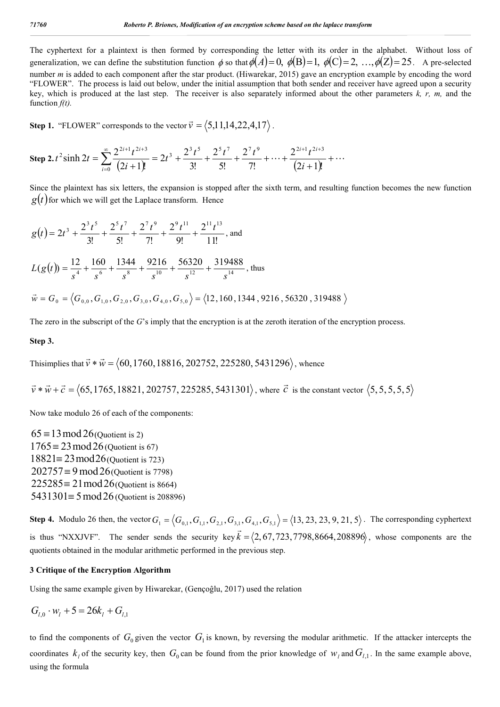The cyphertext for a plaintext is then formed by corresponding the letter with its order in the alphabet. Without loss of generalization, we can define the substitution function  $\phi$  so that  $\phi(A)=0$ ,  $\phi(B)=1$ ,  $\phi(C)=2$ ,  $\ldots$ ,  $\phi(Z)=25$ . A pre-selected number *m* is added to each component after the star product. (Hiwarekar, 2015) gave an encryption example by encoding the word "FLOWER". The process is laid out below, under the initial assumption that both sender and receiver have agreed upon a security key, which is produced at the last step. The receiver is also separately informed about the other parameters *k, r, m,* and the function *f(t).*

**Step 1.** "FLOWER" corresponds to the vector  $\vec{v} = \langle 5,11,14,22,4,17 \rangle$ .

Step 2. 
$$
t^2 \sinh 2t = \sum_{i=0}^{\infty} \frac{2^{2i+1} t^{2i+3}}{(2i+1)!} = 2t^3 + \frac{2^3 t^5}{3!} + \frac{2^5 t^7}{5!} + \frac{2^7 t^9}{7!} + \dots + \frac{2^{2i+1} t^{2i+3}}{(2i+1)!} + \dots
$$

Since the plaintext has six letters, the expansion is stopped after the sixth term, and resulting function becomes the new function  $g(t)$  for which we will get the Laplace transform. Hence

$$
g(t) = 2t^3 + \frac{2^3t^5}{3!} + \frac{2^5t^7}{5!} + \frac{2^7t^9}{7!} + \frac{2^9t^{11}}{9!} + \frac{2^{11}t^{13}}{11!}
$$
, and  
\n
$$
L(g(t)) = \frac{12}{s^4} + \frac{160}{s^6} + \frac{1344}{s^8} + \frac{9216}{s^{10}} + \frac{56320}{s^{12}} + \frac{319488}{s^{14}}
$$
, thus  
\n
$$
\vec{w} = G_0 = \langle G_{0,0}, G_{1,0}, G_{2,0}, G_{3,0}, G_{4,0}, G_{5,0} \rangle = \langle 12, 160, 1344, 9216, 56320, 319488 \rangle
$$

The zero in the subscript of the *G*'s imply that the encryption is at the zeroth iteration of the encryption process.

#### **Step 3.**

Thisimplies that  $\vec{v} * \vec{w} = \langle 60, 1760, 18816, 202752, 225280, 5431296 \rangle$ , whence

 $\vec{v} * \vec{w} + \vec{c} = \langle 65, 1765, 18821, 202757, 225285, 5431301 \rangle$ , where  $\vec{c}$  is the constant vector  $\langle 5, 5, 5, 5, 5, 5 \rangle$ 

Now take modulo 26 of each of the components:

 $65 \equiv 13 \mod 26$ (Quotient is 2)  $1765 \equiv 23 \mod 26$  (Quotient is 67)  $18821 \equiv 23 \mod 26$  (Quotient is 723)  $202757 \equiv 9 \mod 26$  (Quotient is 7798)  $225285 \equiv 21 \mod 26$  (Quotient is 8664)  $5431301 \equiv 5 \mod 26$  (Quotient is 208896)

**Step 4.** Modulo 26 then, the vector  $G_1 = \langle G_{0,1}, G_{1,1}, G_{2,1}, G_{3,1}, G_{4,1}, G_{5,1} \rangle = \langle 13, 23, 23, 9, 21, 5 \rangle$ . The corresponding cyphertext is thus "NXXJVF". The sender sends the security key  $\vec{k} = \langle 2, 67, 723, 7798, 8664, 208896 \rangle$ , whose components are the quotients obtained in the modular arithmetic performed in the previous step.

#### **3 Critique of the Encryption Algorithm**

Using the same example given by Hiwarekar, (Gençoĝlu, 2017) used the relation

$$
G_{l,0} \cdot w_l + 5 = 26k_l + G_{l,1}
$$

to find the components of  $G_0$  given the vector  $G_1$  is known, by reversing the modular arithmetic. If the attacker intercepts the coordinates  $k_i$  of the security key, then  $G_0$  can be found from the prior knowledge of  $w_i$  and  $G_{i,j}$ . In the same example above, using the formula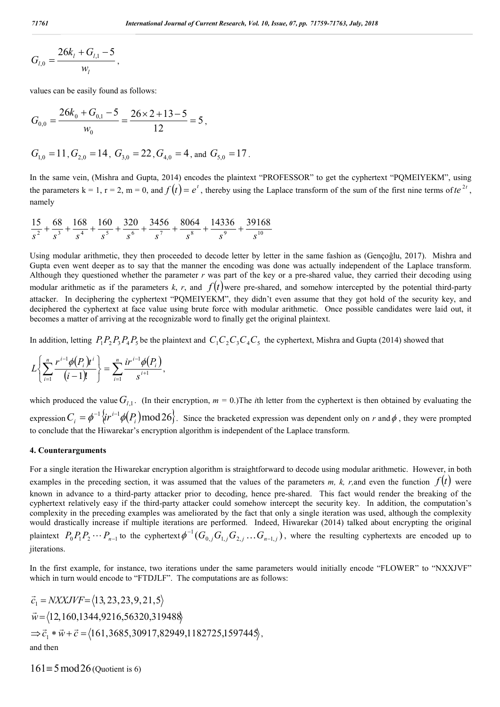$$
G_{l,0} = \frac{26k_l + G_{l,1} - 5}{w_l},
$$

values can be easily found as follows:

$$
G_{0,0} = \frac{26k_0 + G_{0,1} - 5}{w_0} = \frac{26 \times 2 + 13 - 5}{12} = 5,
$$
  

$$
G_{1,0} = 11, G_{2,0} = 14, G_{3,0} = 22, G_{4,0} = 4, \text{ and } G_{5,0} = 17.
$$

In the same vein, (Mishra and Gupta, 2014) encodes the plaintext "PROFESSOR" to get the cyphertext "PQMEIYEKM", using the parameters  $k = 1$ ,  $r = 2$ ,  $m = 0$ , and  $f(t) = e^t$ , thereby using the Laplace transform of the sum of the first nine terms of  $te^{2t}$ , namely

$$
\frac{15}{s^2} + \frac{68}{s^3} + \frac{168}{s^4} + \frac{160}{s^5} + \frac{320}{s^6} + \frac{3456}{s^7} + \frac{8064}{s^8} + \frac{14336}{s^9} + \frac{39168}{s^{10}}
$$

Using modular arithmetic, they then proceeded to decode letter by letter in the same fashion as (Gençoĝlu, 2017). Mishra and Gupta even went deeper as to say that the manner the encoding was done was actually independent of the Laplace transform. Although they questioned whether the parameter  $r$  was part of the key or a pre-shared value, they carried their decoding using modular arithmetic as if the parameters  $k$ ,  $r$ , and  $f(t)$  were pre-shared, and somehow intercepted by the potential third-party attacker. In deciphering the cyphertext "PQMEIYEKM", they didn't even assume that they got hold of the security key, and deciphered the cyphertext at face value using brute force with modular arithmetic. Once possible candidates were laid out, it becomes a matter of arriving at the recognizable word to finally get the original plaintext.

In addition, letting  $P_1P_2P_3P_4P_5$  be the plaintext and  $C_1C_2C_3C_4C_5$  the cyphertext, Mishra and Gupta (2014) showed that

$$
L\left\{\sum_{i=1}^n\frac{r^{i-1}\phi(P_i)t^i}{(i-1)!}\right\}=\sum_{i=1}^n\frac{ir^{i-1}\phi(P_i)}{s^{i+1}},
$$

which produced the value  $G_{l,1}$ . (In their encryption,  $m = 0$ .) The *i*th letter from the cyphertext is then obtained by evaluating the expression  $C_i = \phi^{-1} \{ir^{i-1}\phi(P_i) \mod 26\}$ . Since the bracketed expression was dependent only on *r* and  $\phi$ , they were prompted to conclude that the Hiwarekar's encryption algorithm is independent of the Laplace transform.

#### **4. Counterarguments**

For a single iteration the Hiwarekar encryption algorithm is straightforward to decode using modular arithmetic. However, in both examples in the preceding section, it was assumed that the values of the parameters *m*, *k*, *r*,and even the function  $f(t)$  were known in advance to a third-party attacker prior to decoding, hence pre-shared. This fact would render the breaking of the cyphertext relatively easy if the third-party attacker could somehow intercept the security key. In addition, the computation's complexity in the preceding examples was ameliorated by the fact that only a single iteration was used, although the complexity would drastically increase if multiple iterations are performed. Indeed, Hiwarekar (2014) talked about encrypting the original plaintext  $P_0P_1P_2\cdots P_{n-1}$  to the cyphertext  $\phi^{-1}(G_{0,j}G_{1,j}G_{2,j}\ldots G_{n-1,j})$ , where the resulting cyphertexts are encoded up to iiterations.

In the first example, for instance, two iterations under the same parameters would initially encode "FLOWER" to "NXXJVF" which in turn would encode to "FTDJLF". The computations are as follows:

$$
\vec{c}_1 = NXXJVF = \langle 13, 23, 23, 9, 21, 5 \rangle
$$
  
\n
$$
\vec{w} = \langle 12, 160, 1344, 9216, 56320, 319488 \rangle
$$
  
\n
$$
\Rightarrow \vec{c}_1 * \vec{w} + \vec{c} = \langle 161, 3685, 30917, 82949, 1182725, 1597445 \rangle
$$
,  
\nand then

 $161 \equiv 5 \mod 26$  (Quotient is 6)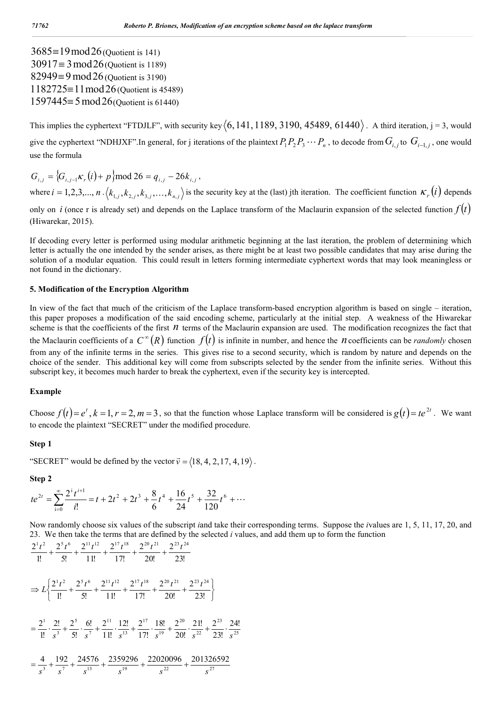$3685 \equiv 19 \mod 26$  (Quotient is 141)  $30917 \equiv 3 \mod 26$  (Quotient is 1189)  $82949 \equiv 9 \mod 26$  (Quotient is 3190)  $1182725 \equiv 11 \mod 26$  (Quotient is 45489)  $1597445 \equiv 5 \mod 26$  (Quotient is 61440)

This implies the cyphertext "FTDJLF", with security key  $(6,141,1189, 3190, 45489, 61440)$ . A third iteration, j = 3, would give the cyphertext "NDHJXF".In general, for j iterations of the plaintext  $P_1P_2P_3 \cdots P_n$ , to decode from  $G_i$  to  $G_{i-1,i}$ , one would use the formula

 $G_{i,j} = \{G_{i,j-1}K_r(i) + p\} \text{mod } 26 = q_{i,j} - 26k_{i,j}$ where  $i = 1, 2, 3, ..., n$ .  $\langle k_{1,i}, k_{2,i}, k_{3,i},..., k_{n,i} \rangle$  is the security key at the (last) jth iteration. The coefficient function  $\kappa_r(i)$  depends

only on *i* (once r is already set) and depends on the Laplace transform of the Maclaurin expansion of the selected function  $f(t)$ (Hiwarekar, 2015).

If decoding every letter is performed using modular arithmetic beginning at the last iteration, the problem of determining which letter is actually the one intended by the sender arises, as there might be at least two possible candidates that may arise during the solution of a modular equation. This could result in letters forming intermediate cyphertext words that may look meaningless or not found in the dictionary.

#### **5. Modification of the Encryption Algorithm**

In view of the fact that much of the criticism of the Laplace transform-based encryption algorithm is based on single – iteration, this paper proposes a modification of the said encoding scheme, particularly at the initial step. A weakness of the Hiwarekar scheme is that the coefficients of the first *n* terms of the Maclaurin expansion are used. The modification recognizes the fact that the Maclaurin coefficients of a  $C^{\infty}(R)$  function  $f(t)$  is infinite in number, and hence the *n* coefficients can be *randomly* chosen from any of the infinite terms in the series. This gives rise to a second security, which is random by nature and depends on the choice of the sender. This additional key will come from subscripts selected by the sender from the infinite series. Without this subscript key, it becomes much harder to break the cyphertext, even if the security key is intercepted.

#### **Example**

Choose  $f(t) = e^t$ ,  $k = 1$ ,  $r = 2$ ,  $m = 3$ , so that the function whose Laplace transform will be considered is  $g(t) = te^{2t}$ . We want to encode the plaintext "SECRET" under the modified procedure.

#### **Step 1**

"SECRET" would be defined by the vector  $\vec{v} = \langle 18, 4, 2, 17, 4, 19 \rangle$ .

**Step 2**

$$
te^{2t} = \sum_{i=0}^{\infty} \frac{2^i t^{i+1}}{i!} = t + 2t^2 + 2t^3 + \frac{8}{6}t^4 + \frac{16}{24}t^5 + \frac{32}{120}t^6 + \cdots
$$

Now randomly choose six values of the subscript *i*and take their corresponding terms. Suppose the *i*values are 1, 5, 11, 17, 20, and 23. We then take the terms that are defined by the selected *i* values, and add them up to form the function

$$
\frac{2^1t^2}{1!} + \frac{2^5t^6}{5!} + \frac{2^{11}t^{12}}{11!} + \frac{2^{17}t^{18}}{17!} + \frac{2^{20}t^{21}}{20!} + \frac{2^{23}t^{24}}{23!}
$$
  
\n
$$
\Rightarrow L\left\{\frac{2^1t^2}{1!} + \frac{2^5t^6}{5!} + \frac{2^{11}t^{12}}{11!} + \frac{2^{17}t^{18}}{17!} + \frac{2^{20}t^{21}}{20!} + \frac{2^{23}t^{24}}{23!}\right\}
$$
  
\n
$$
= \frac{2^1}{1!} \cdot \frac{2!}{s^3} + \frac{2^5}{5!} \cdot \frac{6!}{s^7} + \frac{2^{11}}{11!} \cdot \frac{12!}{s^{13}} + \frac{2^{17}}{17!} \cdot \frac{18!}{s^{19}} + \frac{2^{20}}{20!} \cdot \frac{21!}{s^{22}} + \frac{2^{23}}{23!} \cdot \frac{24!}{s^{25}}
$$
  
\n
$$
= \frac{4}{s^3} + \frac{192}{s^7} + \frac{24576}{s^{13}} + \frac{2359296}{s^{19}} + \frac{22020096}{s^{22}} + \frac{201326592}{s^{27}}
$$